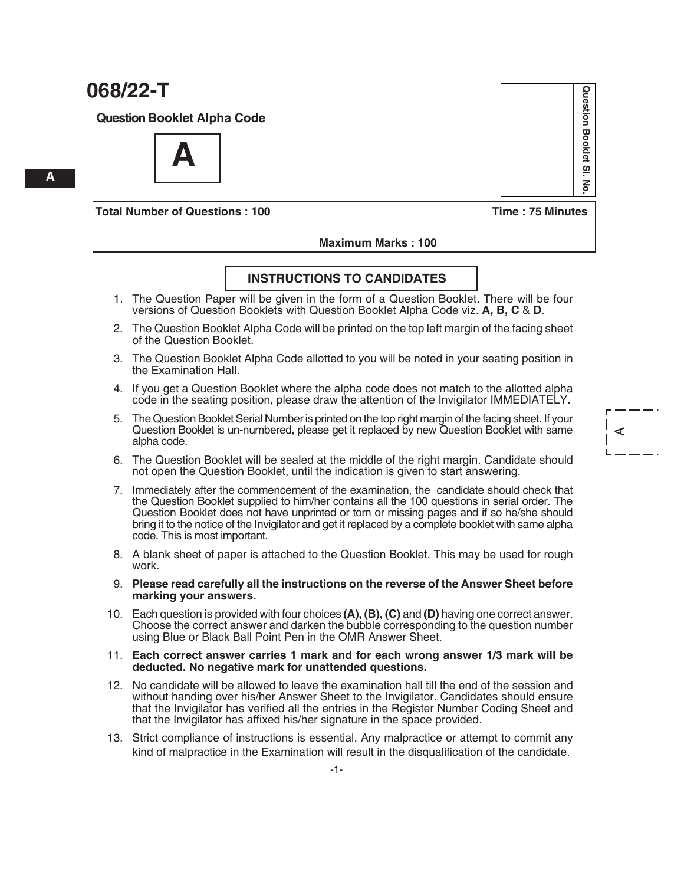**Question Booklet Alpha Code**

**A**

**Total Number of Questions : 100 Time : 75 Minutes**

# Question Booklet SI. **Question Booklet Sl. No.**  $\frac{2}{5}$

A

#### **Maximum Marks : 100**

#### **INSTRUCTIONS TO CANDIDATES**

- 1. The Question Paper will be given in the form of a Question Booklet. There will be four versions of Question Booklets with Question Booklet Alpha Code viz. **A, B, C** & **D**.
- 2. The Question Booklet Alpha Code will be printed on the top left margin of the facing sheet of the Question Booklet.
- 3. The Question Booklet Alpha Code allotted to you will be noted in your seating position in the Examination Hall.
- 4. If you get a Question Booklet where the alpha code does not match to the allotted alpha code in the seating position, please draw the attention of the Invigilator IMMEDIATELY.
- 5. The Question Booklet Serial Number is printed on the top right margin of the facing sheet. If your Question Booklet is un-numbered, please get it replaced by new Question Booklet with same alpha code.
- 6. The Question Booklet will be sealed at the middle of the right margin. Candidate should not open the Question Booklet, until the indication is given to start answering.
- 7. Immediately after the commencement of the examination, the candidate should check that the Question Booklet supplied to him/her contains all the 100 questions in serial order. The Question Booklet does not have unprinted or torn or missing pages and if so he/she should bring it to the notice of the Invigilator and get it replaced by a complete booklet with same alpha code. This is most important.
- 8. A blank sheet of paper is attached to the Question Booklet. This may be used for rough work.
- 9. **Please read carefully all the instructions on the reverse of the Answer Sheet before marking your answers.**
- 10. Each question is provided with four choices **(A), (B), (C)** and **(D)** having one correct answer. Choose the correct answer and darken the bubble corresponding to the question number using Blue or Black Ball Point Pen in the OMR Answer Sheet.

#### 11. **Each correct answer carries 1 mark and for each wrong answer 1/3 mark will be deducted. No negative mark for unattended questions.**

- 12. No candidate will be allowed to leave the examination hall till the end of the session and without handing over his/her Answer Sheet to the Invigilator. Candidates should ensure that the Invigilator has verified all the entries in the Register Number Coding Sheet and that the Invigilator has affixed his/her signature in the space provided.
- 13. Strict compliance of instructions is essential. Any malpractice or attempt to commit any kind of malpractice in the Examination will result in the disqualification of the candidate.

**A**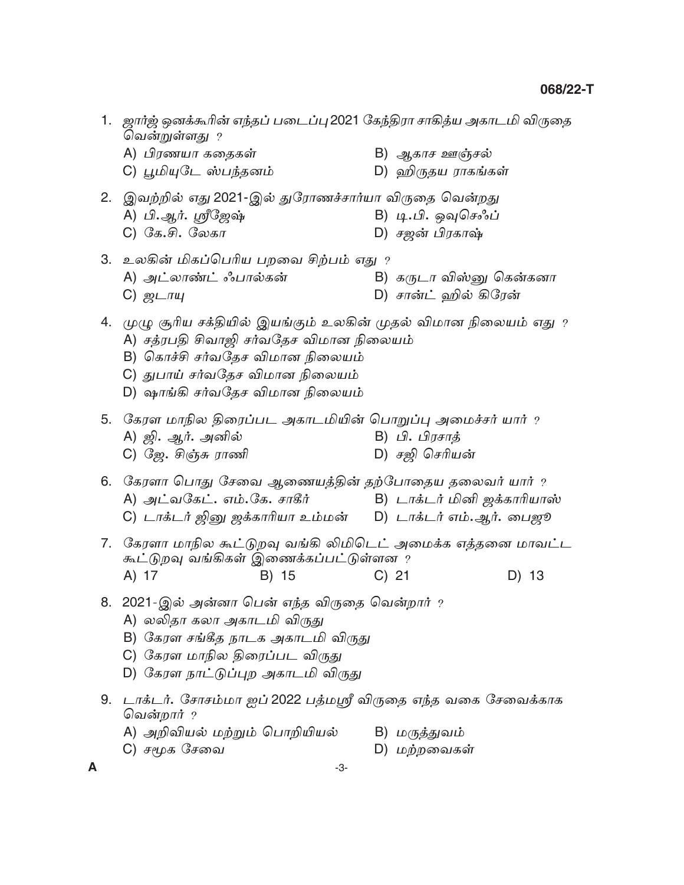- 1. ஜார்ஜ் ஒனக்கூரின் எந்தப் படைப்பு 2021 கேந்திரா சாகித்ய அகாடமி விருதை வென்றுள்ளது ? A) பிரணயா கதைகள் B) ஆகாச ஊஞ்சல் C) பூமியுடே ஸ்பந்தனம் D) ஹிருதய ராகங்கள் 2. இவற்றில் எது 2021-இல் துரோணச்சார்யா விருதை வென்றது A) பி.ஆர். ஸ்ரீஜேஷ் B) டி.பி. ஓவுசெஃப்  $C)$  கே.சி. லேகா D) சஜன் பிரகாஷ் 3. உலகின் மிகப்பெரிய பறவை சிற்பம் எது ? A) அட்லாண்ட் ஃபால்கன் B) கருடா விஸ்னு கென்கனா D) சான்ட் ஹில் கிரேன்  $C)$   $\mathcal{D}$   $\mathcal{D}$   $\mathcal{D}$ 4. முழு சூரிய சக்தியில் இயங்கும் உலகின் முதல் விமான நிலையம் எது ? A) சத்ரபதி சிவாஜி சர்வதேச விமான நிலையம் B) கொச்சி சர்வதேச விமான நிலையம் C) துபாய் சர்வதேச விமான நிலையம் D) ஷாங்கி சர்வதேச விமான நிலையம் 5. கேரள மாநில திரைப்பட அகாடமியின் பொறுப்பு அமைச்சர் யார் ? A) ஜி. ஆர். அனில் B) பி. பிரசாத் C) ஜே. சிஞ்சு ராணி D) சலி செரியன் 6. கேரளா பொது சேவை ஆணையத்தின் தற்போதைய தலைவர் யார் ? A) அட்வகேட். எம்.கே. சாகீர் B) டாக்டர் மினி ஜக்காரியாஸ் C) டாக்டர் ஜினு ஜக்காரியா உம்மன் D) டாக்டர் எம்.ஆர். பைஜூ 7. கேரளா மாநில கூட்டுறவு வங்கி லிமிடெட் அமைக்க எத்தனை மாவட்ட கூட்டுறவு வங்கிகள் இணைக்கப்பட்டுள்ளன ?  $C)$  21  $D)$  13 A) 17 B) 15 8. 2021-இல் அன்னா பென் எந்த விருதை வென்றார் ? A) லலிதா கலா அகாடமி விருது B) கேரள சங்கீத நாடக அகாடமி விருது C) கேரள மாநில திரைப்பட விருது D) கேரள நாட்டுப்புற அகாடமி விருது 9. டாக்டர். சோசம்மா ஐப் 2022 பத்மஸ்ரீ விருதை எந்த வகை சேவைக்காக வென்றார் ? A) அறிவியல் மற்றும் பொறியியல் B) மருத்துவம் C) சமூக சேவை D) மற்றவைகள்
- A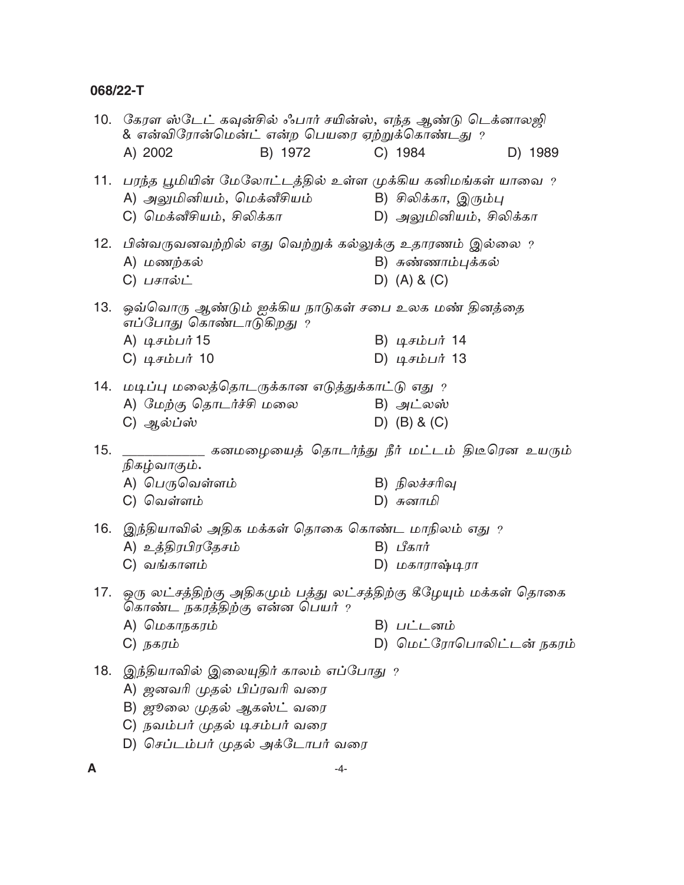|     | 10.   கேரள ஸ்டேட் கவுன்சில் ஃபார் சயின்ஸ், எந்த ஆண்டு டெக்னாலஜி<br>& என்விரோன்மென்ட் என்ற பெயரை ஏற்றுக்கொண்டது $\,$ ?                                                        |         |                                                 |         |
|-----|------------------------------------------------------------------------------------------------------------------------------------------------------------------------------|---------|-------------------------------------------------|---------|
|     | A) 2002                                                                                                                                                                      | B) 1972 | C) 1984                                         | D) 1989 |
|     | 11. பரந்த பூமியின் மேலோட்டத்தில் உள்ள முக்கிய கனிமங்கள் யாவை ?<br>A) அலுமினியம், மெக்னீசியம்<br>C) மெக்னீசியம், சிலிக்கா                                                     |         | B) சிலிக்கா, இரும்பு<br>D) அலுமினியம், சிலிக்கா |         |
|     | 12.  பின்வருவனவற்றில் எது வெற்றுக் கல்லுக்கு உதாரணம் இல்லை ?<br>A) மணற்கல்<br>$C)$ பசால்ட்                                                                                   |         | B) சுண்ணாம்புக்கல்<br>D) $(A) 8 (C)$            |         |
| 13. | ஒவ்வொரு ஆண்டும் ஐக்கிய நாடுகள் சபை உலக மண் தினத்தை<br>எப்போது கொண்டாடுகிறது ?<br>A) டிசம்பர் 15<br>$C)$ டிசம்பர் 10                                                          |         | B) டிசம்பர் 14<br>D) டிசம்பர் 13                |         |
|     | 14. மடிப்பு மலைத்தொடருக்கான எடுத்துக்காட்டு எது ?<br>A) மேற்கு தொடர்ச்சி மலை<br>C) ஆல்ப்ஸ்                                                                                   |         | B) அட்லஸ்<br>$D)$ (B) & (C)                     |         |
| 15. | _________ கனமழையைத் தொடர்ந்து நீர் மட்டம் திடீரென உயரும்                                                                                                                     |         |                                                 |         |
|     | நிகழ்வாகும்.<br>A) பெருவெள்ளம்<br>C) வெள்ளம்                                                                                                                                 |         | B) நிலச்சரிவு<br>D) சுனாமி                      |         |
|     | 16.   இந்தியாவில் அதிக மக்கள் தொகை கொண்ட மாநிலம் எது $\,$ ?<br>A) உத்திரபிரதேசம்<br>C) வங்காளம்                                                                              |         | B) பீகார்<br>D) மகாராஷ்டிரா                     |         |
| 17. | ஒரு லட்சத்திற்கு அதிகமும் பத்து லட்சத்திற்கு கீழேயும் மக்கள் தொகை<br>கொண்ட நகரத்திற்கு என்ன பெயர் <sub>?</sub><br>A) மெகாநகரம்                                               |         | B) <i>பட்டனம்</i>                               |         |
|     | C) நகரம்                                                                                                                                                                     |         | D) மெட்ரோபொலிட்டன் நகரம்                        |         |
| 18. | இந்தியாவில் இலையுதிர் காலம் எப்போது ?<br>A) ஜனவரி முதல் பிப்ரவரி வரை<br>B) <i>ஜூலை முதல் ஆகஸ்ட்</i> வரை<br>C) நவம்பர் முதல் டிசம்பர் வரை<br>D) செப்டம்பர் முதல் அக்டோபர் வரை |         |                                                 |         |
| A   |                                                                                                                                                                              | -4-     |                                                 |         |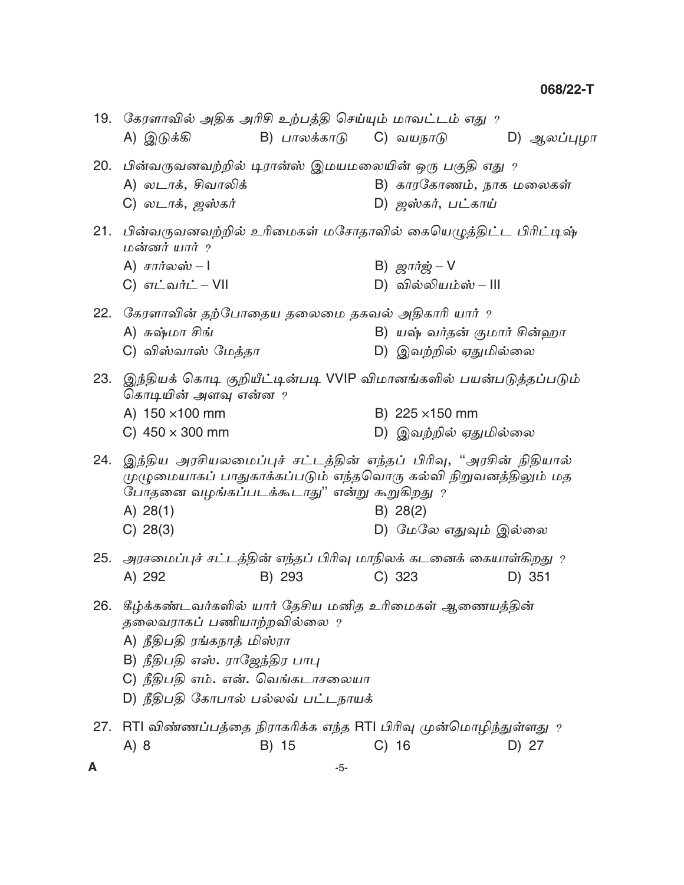| 19. | கேரளாவில் அதிக அரிசி உற்பத்தி செய்யும் மாவட்டம் எது ?<br>A) இடுக்கி                                                                                                                                                             | B) பாலக்காடு C) வயநாடு |    |                                               | D) ஆலப்புழா |
|-----|---------------------------------------------------------------------------------------------------------------------------------------------------------------------------------------------------------------------------------|------------------------|----|-----------------------------------------------|-------------|
| 20. | பின்வருவனவற்றில் டிரான்ஸ் இமயமலையின் ஒரு பகுதி எது ?<br>A) லடாக், சிவாலிக்<br>C) <i>லடா</i> க், ஜஸ்கர்                                                                                                                          |                        |    | B) காரகோணம், நாக மலைகள்<br>D) ஜஸ்கர், பட்காய் |             |
| 21. | பின்வருவனவற்றில் உரிமைகள் மசோதாவில் கையெழுத்திட்ட பிரிட்டிஷ்<br>மன்னர் யார் $\,$ ?<br>A) சார்லஸ் – $\mathsf I$                                                                                                                  |                        |    | B) $g\pi r \dot{\phi} - V$                    |             |
|     | C) எட்வர்ட் – VII                                                                                                                                                                                                               |                        |    | D) வில்லியம்ஸ் – III                          |             |
| 22. | கேரளாவின் தற்போதைய தலைமை தகவல் அதிகாரி யார் ?                                                                                                                                                                                   |                        |    |                                               |             |
|     | A) சுஷ்மா சிங்                                                                                                                                                                                                                  |                        |    | B) யஷ் வர்தன் குமார் சின்ஹா                   |             |
|     | C) விஸ்வாஸ் மேத்தா                                                                                                                                                                                                              |                        |    | D) இவற்றில் ஏதுமில்லை                         |             |
| 23. | இந்தியக் கொடி குறியீட்டின்படி VVIP விமானங்களில் பயன்படுத்தப்படும்<br>கொடியின் அளவு என்ன ?                                                                                                                                       |                        |    |                                               |             |
|     | A) 150 × 100 mm                                                                                                                                                                                                                 |                        |    | B) 225 × 150 mm                               |             |
|     | C) $450 \times 300$ mm                                                                                                                                                                                                          |                        |    | D) இவற்றில் ஏதுமில்லை                         |             |
| 24. | இந்திய அரசியலமைப்புச் சட்டத்தின் எந்தப் பிரிவு, ''அரசின் நிதியால்<br>முழுமையாகப் பாதுகாக்கப்படும் எந்தவொரு கல்வி நிறுவனத்திலும் மத<br>போதனை வழங்கப்படக்கூடாது'' என்று கூறுகிறது ?<br>A) $28(1)$                                 |                        |    | B) 28(2)                                      |             |
|     | C) 28(3)                                                                                                                                                                                                                        |                        |    | D) மேலே எதுவும் இல்லை                         |             |
|     | 25.  அரசமைப்புச் சட்டத்தின் எந்தப் பிரிவு மாநிலக் கடனைக் கையாள்கிறது ?                                                                                                                                                          |                        |    |                                               |             |
|     | A) 292                                                                                                                                                                                                                          | B) 293                 |    | C) 323                                        | D) 351      |
| 26. | கீழ்க்கண்டவர்களில் யார் தேசிய மனித உரிமைகள் ஆணையத்தின்<br>தலைவராகப் பணியாற்றவில்லை ?<br>A) நீதிபதி ரங்கநாத் மிஸ்ரா<br>B) நீதிபதி எஸ். ராஜேந்திர பாபு<br>C) நீதிபதி எம். என். வெங்கடாசலையா<br>D) நீதிபதி கோபால் பல்லவ் பட்டநாயக் |                        |    |                                               |             |
| 27. | RTI விண்ணப்பத்தை நிராகரிக்க எந்த RTI பிரிவு முன்மொழிந்துள்ளது ?                                                                                                                                                                 |                        |    |                                               |             |
|     | A) 8                                                                                                                                                                                                                            | B) 15                  | C) | -16                                           | D) 27       |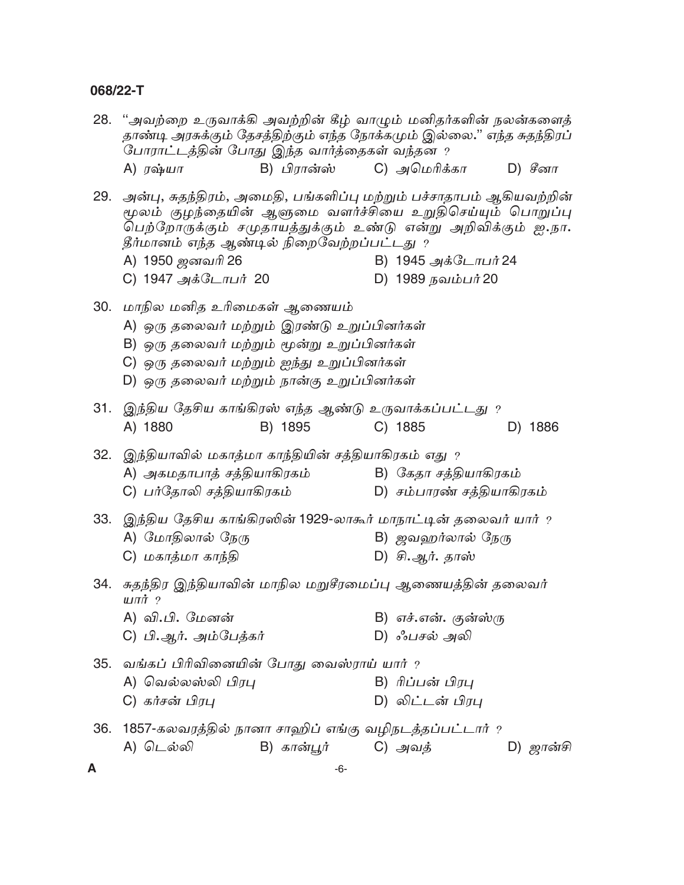| 28. | ''அவற்றை உருவாக்கி அவற்றின் கீழ் வாழும் மனிதர்களின் நலன்களைத்<br>தாண்டி அரசுக்கும் தேசத்திற்கும் எந்த நோக்கமும் இல்லை." எந்த சுதந்திரப்<br>போராட்டத்தின் போது இந்த வார்த்தைகள் வந்தன ?                                                          |                          |                                                    |           |
|-----|-------------------------------------------------------------------------------------------------------------------------------------------------------------------------------------------------------------------------------------------------|--------------------------|----------------------------------------------------|-----------|
|     | A) <i>ர</i> ஷ்யா                                                                                                                                                                                                                                | B) பிரான்ஸ் C) அமெரிக்கா |                                                    | D) சீனா   |
| 29. | அன்பு, சுதந்திரம், அமைதி, பங்களிப்பு மற்றும் பச்சாதாபம் ஆகியவற்றின்<br>மூலம் குழந்தையின் ஆளுமை வளர்ச்சியை உறுதிசெய்யும் பொறுப்பு<br>பெற்றோருக்கும் சமுதாயத்துக்கும் உண்டு என்று அறிவிக்கும் ஐ.நா.<br>தீர்மானம் எந்த ஆண்டில் நிறைவேற்றப்பட்டது ? |                          |                                                    |           |
|     | A) 1950 ஜனவரி 26                                                                                                                                                                                                                                |                          | B) 1945 அக்டோபர் 24                                |           |
|     | C) 1947 அக்டோபர் 20                                                                                                                                                                                                                             |                          | D) 1989 நவம்பர் 20                                 |           |
| 30. | மாநில மனித உரிமைகள் ஆணையம்<br>A) ஒரு தலைவர் மற்றும் இரண்டு உறுப்பினர்கள்<br>B) ஒரு தலைவர் மற்றும் மூன்று உறுப்பினர்கள்<br>C) ஒரு தலைவர் மற்றும் ஐந்து உறுப்பினர்கள்<br>D) ஒரு தலைவர் மற்றும் நான்கு உறுப்பினர்கள்                               |                          |                                                    |           |
| 31. | இந்திய தேசிய காங்கிரஸ் எந்த ஆண்டு உருவாக்கப்பட்டது ?                                                                                                                                                                                            |                          |                                                    |           |
|     | A) 1880                                                                                                                                                                                                                                         | B) 1895                  | C) 1885                                            | D) 1886   |
| 32. | இந்தியாவில் மகாத்மா காந்தியின் சத்தியாகிரகம் எது ?<br>A) அகமதாபாத் சத்தியாகிரகம்<br>C) பர்தோலி சத்தியாகிரகம்                                                                                                                                    |                          | B) கேதா சத்தியாகிரகம்<br>D) சம்பாரண் சத்தியாகிரகம் |           |
| 33. | இந்திய தேசிய காங்கிரஸின் 1929-லாகூர் மாநாட்டின் தலைவர் யார் ?                                                                                                                                                                                   |                          |                                                    |           |
|     |                                                                                                                                                                                                                                                 |                          |                                                    |           |
|     | A) மோதிலால் நேரு                                                                                                                                                                                                                                |                          | B) ஜவஹர்லால் நேரு                                  |           |
|     | C) மகாத்மா காந்தி                                                                                                                                                                                                                               |                          | D) சி.ஆர். தாஸ்                                    |           |
| 34. | சுதந்திர இந்தியாவின் மாநில மறுசீரமைப்பு ஆணையத்தின் தலைவர்<br>$\mu$ л $\dot{\pi}$ ?                                                                                                                                                              |                          |                                                    |           |
|     | A) வி.பி. மேனன்                                                                                                                                                                                                                                 |                          | B) எச்.என். குன்ஸ்ரு                               |           |
|     | C) பி.ஆர். அம்பேத்கர்                                                                                                                                                                                                                           |                          | D) ஃபசல் அலி                                       |           |
|     |                                                                                                                                                                                                                                                 |                          |                                                    |           |
| 35. | வங்கப் பிரிவினையின் போது வைஸ்ராய் யார் ?                                                                                                                                                                                                        |                          |                                                    |           |
|     | A) வெல்லஸ்லி பிரபு                                                                                                                                                                                                                              |                          | B) ரிப்பன் பிரபு                                   |           |
|     | C) கர்சன் பிரபு                                                                                                                                                                                                                                 |                          | D) லிட்டன் பிரபு                                   |           |
|     |                                                                                                                                                                                                                                                 |                          |                                                    |           |
| 36. | 1857-கலவரத்தில் நானா சாஹிப் எங்கு வழிநடத்தப்பட்டார் ?                                                                                                                                                                                           |                          |                                                    |           |
|     | A) டெல்லி                                                                                                                                                                                                                                       | B) கான்பூர்              | C) அவத்                                            | D) ஜான்சி |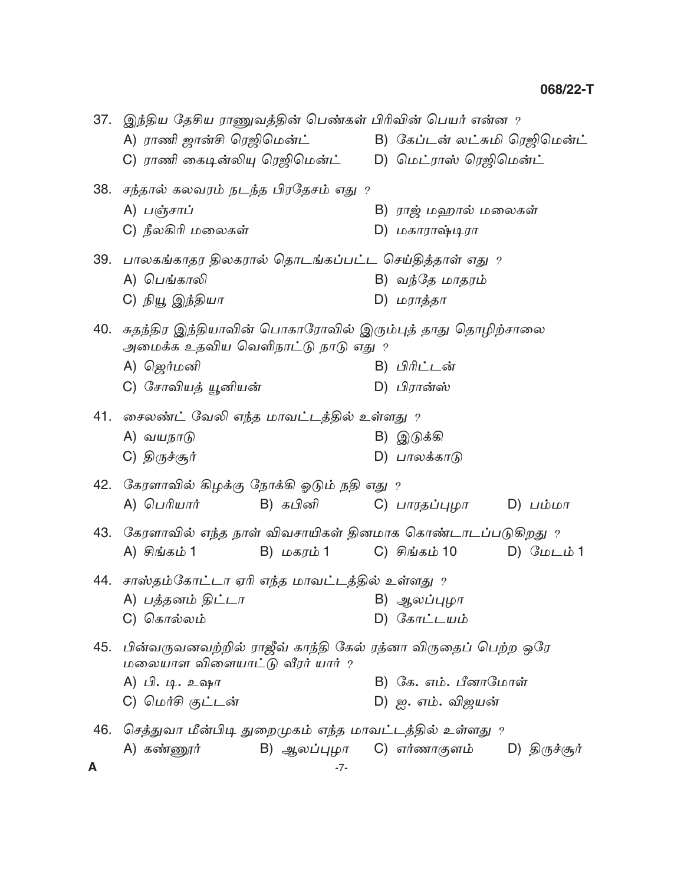|     | 37. இந்திய தேசிய ராணுவத்தின் பெண்கள் பிரிவின் பெயர் என்ன ? |            |                                                                   |
|-----|------------------------------------------------------------|------------|-------------------------------------------------------------------|
|     | A) ராணி ஜான்சி ரெஜிமென்ட்                                  |            | B) கேப்டன் லட்சுமி ரெஜிமென்ட்                                     |
|     |                                                            |            | C) ராணி கைடின்லியு ரெஜிமென்ட்        D)  மெட்ராஸ் ரெஜிமென்ட்      |
|     | 38. சந்தால் கலவரம் நடந்த பிரதேசம் எது ?                    |            |                                                                   |
|     | A) பஞ்சாப்                                                 |            | B) ராஜ் மஹால் மலைகள்                                              |
|     | C) நீலகிரி மலைகள்                                          |            | D) மகாராஷ்டிரா                                                    |
| 39. | பாலகங்காதர திலகரால் தொடங்கப்பட்ட செய்தித்தாள் எது ?        |            |                                                                   |
|     | A) பெங்காலி                                                |            | B) வந்தே மாதரம்                                                   |
|     | C) நியூ இந்தியா                                            |            | D) மராத்தா                                                        |
|     |                                                            |            |                                                                   |
| 40. | அமைக்க உதவிய வெளிநாட்டு நாடு எது ?                         |            | சுதந்திர இந்தியாவின் பொகாரோவில் இரும்புத் தாது தொழிற்சாலை         |
|     | A) ஜெர்மனி                                                 |            | B) பிரிட்டன்                                                      |
|     | C) சோவியத் யூனியன்                                         |            | D) பிரான்ஸ்                                                       |
|     |                                                            |            |                                                                   |
|     | 41.  சைலண்ட் வேலி எந்த மாவட்டத்தில் உள்ளது $\it ?$         |            |                                                                   |
|     | A) வயநாடு                                                  |            | B) இடுக்கி                                                        |
|     | C) திருச்சூர்                                              |            | D) பாலக்காடு                                                      |
|     | 42.   கேரளாவில் கிழக்கு நோக்கி ஓடும் நதி எது $\,$ ?        |            |                                                                   |
|     | A) பெரியார்                                                | B) கபினி   | C) பாரதப்புழா      D) பம்மா                                       |
|     |                                                            |            | 43.  கேரளாவில் எந்த நாள் விவசாயிகள் தினமாக கொண்டாடப்படுகிறது $\,$ |
|     | A) சிங்கம் 1                                               | B) மகரம் 1 | D) மேடம் 1<br>C) சிங்கம் 10                                       |
| 44. | சாஸ்தம்கோட்டா ஏரி எந்த மாவட்டத்தில் உள்ளது ?               |            |                                                                   |
|     | A) பத்தனம் திட்டா                                          |            | B) ஆலப்புழா                                                       |
|     | C) கொல்லம்                                                 |            | D) கோட்டயம்                                                       |
| 45. |                                                            |            | பின்வருவனவற்றில் ராஜீவ் காந்தி கேல் ரத்னா விருதைப் பெற்ற ஒரே      |
|     | மலையாள விளையாட்டு வீரர் யார் ?                             |            |                                                                   |
|     | A) பி. டி. உஷா                                             |            | B) கே. எம். பீனாமோள்                                              |
|     | C) மெர்சி குட்டன்                                          |            | D) ஐ. எம். விஜயன்                                                 |
| 46. | செத்துவா மீன்பிடி துறைமுகம் எந்த மாவட்டத்தில் உள்ளது ?     |            |                                                                   |
|     | A) கண்ணூர்                                                 |            | B) ஆலப்புழா C) எர்ணாகுளம் D) திருச்சூர்                           |
| A   |                                                            | -7-        |                                                                   |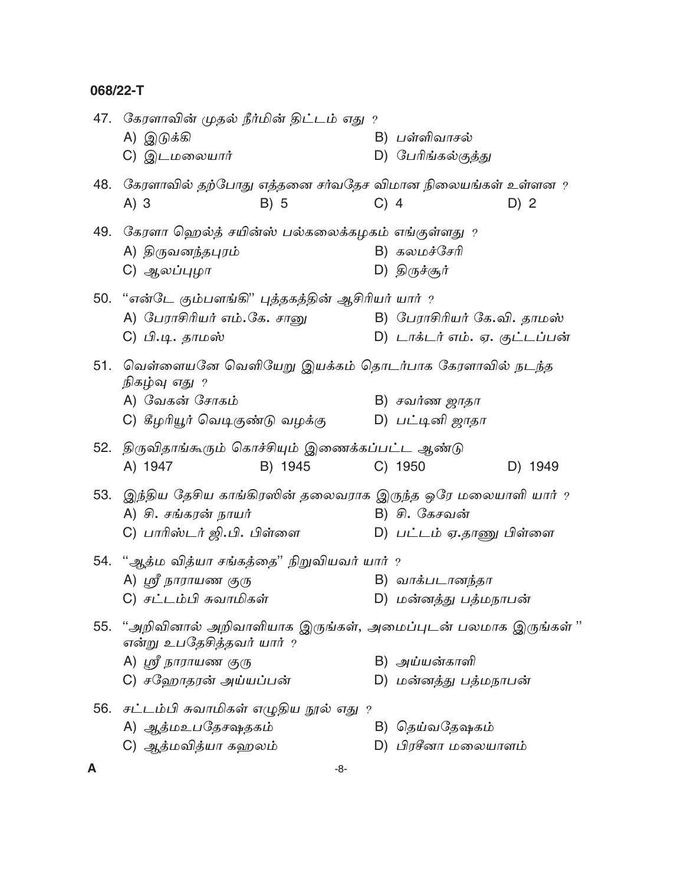|     | 47.   கேரளாவின் முதல் நீர்மின் திட்டம் எது  ?<br>A) இடுக்கி<br>C) இடமலையார்                                                                 |         |        | B) பள்ளிவாசல்<br>D) பேரிங்கல்குத்து                          |         |
|-----|---------------------------------------------------------------------------------------------------------------------------------------------|---------|--------|--------------------------------------------------------------|---------|
| 48. | கேரளாவில் தற்போது எத்தனை சர்வதேச விமான நிலையங்கள் உள்ளன ?<br>$A)$ 3                                                                         | B) 5    | $C)$ 4 |                                                              | D) 2    |
|     | 49. சேரளா ஹெல்த் சயின்ஸ் பல்கலைக்கழகம் எங்குள்ளது ?<br>A) திருவனந்தபுரம்<br>C) ஆலப்புழா                                                     |         |        | B) கலமச்சேரி<br>D) திருச்சூர்                                |         |
|     | 50. "என்டே கும்பளங்கி" புத்தகத்தின் ஆசிரியர் யார் ?<br>A) பேராசிரியர் எம்.கே. சானு<br>C) பி.டி. தாமஸ்                                       |         |        | B) பேராசிரியர் கே.வி. தாமஸ்<br>D) டாக்டர் எம். ஏ. குட்டப்பன் |         |
|     | 51. வெள்ளையனே வெளியேறு இயக்கம் தொடர்பாக கேரளாவில் நடந்த<br>நிகழ்வு எது ?<br>A) வேகன் சோகம்<br>C) கீழரியூர் வெடிகுண்டு வழக்கு                |         |        | B) சவர்ண ஜாதா<br>D) பட்டினி ஜாதா                             |         |
|     | 52. திருவிதாங்கூரும் கொச்சியும் இணைக்கப்பட்ட ஆண்டு<br>A) 1947                                                                               | B) 1945 |        | C) 1950                                                      | D) 1949 |
|     | 53.  இந்திய தேசிய காங்கிரஸின் தலைவராக இருந்த ஒரே மலையாளி யார் ?<br>A) சி. சங்கரன் நாயர்<br>C) பாரிஸ்டர் ஜி.பி. பிள்ளை                       |         |        | B) சி. கேசவன்<br>D) பட்டம் ஏ.தாணு பிள்ளை                     |         |
|     | 54. "ஆத்ம வித்யா சங்கத்தை" நிறுவியவர் யார் ?<br>A) ஸ்ரீ நாராயண குரு<br>C) சட்டம்பி சுவாமிகள்                                                |         |        | B) வாக்படானந்தா<br>D) மன்னத்து பத்மநாபன்                     |         |
|     | 55. "அறிவினால் அறிவாளியாக இருங்கள், அமைப்புடன் பலமாக இருங்கள் "<br>என்று உபதேசித்தவர் யார் ?<br>A) ஸ்ரீ நாராயண குரு<br>C) சஹோதரன் அய்யப்பன் |         |        | B) அய்யன்காளி<br>D) மன்னத்து பத்மநாபன்                       |         |
|     | 56.  சட்டம்பி சுவாமிகள் எழுதிய நூல் எது $\,$ ?<br>A) ஆத்மஉபதேசஷதகம்<br>C) ஆத்மவித்யா கஹலம்                                                  |         |        | B) தெய்வதேஷகம்<br>D) பிரசீனா மலையாளம்                        |         |
| A   |                                                                                                                                             | -8-     |        |                                                              |         |

 $-8-$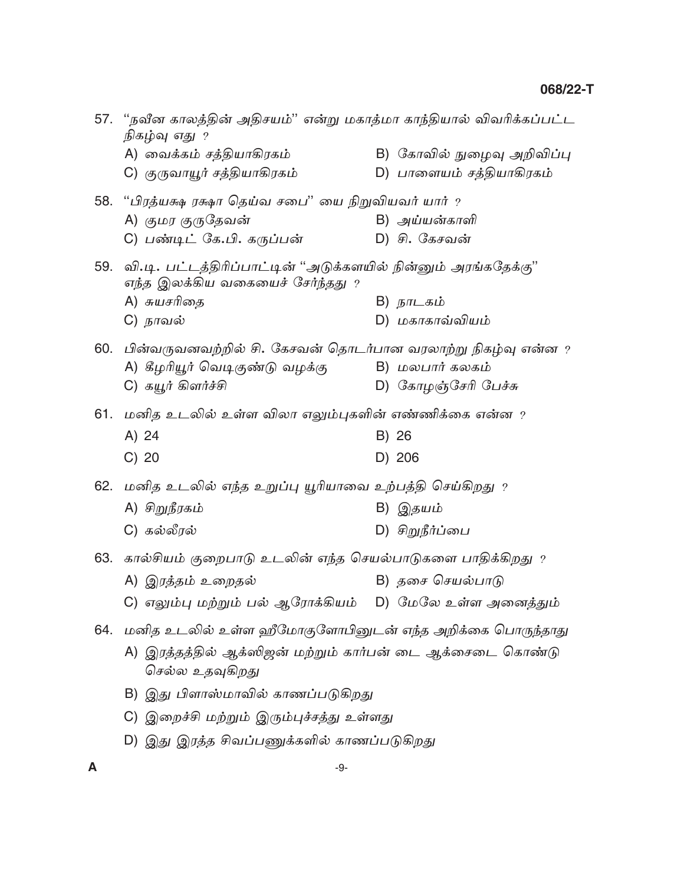| 57. "நவீன காலத்தின் அதிசயம்'' என்று மகாத்மா காந்தியால் விவரிக்கப்பட்ட<br>நிகழ்வு எது ?                 |                            |
|--------------------------------------------------------------------------------------------------------|----------------------------|
| A) வைக்கம் சத்தியாகிரகம்                                                                               | B) கோவில் நுழைவு அறிவிப்பு |
| C) குருவாயூர் சத்தியாகிரகம்                                                                            | D) பாளையம் சத்தியாகிரகம்   |
| 58. "பிரத்யக்ஷ ரக்ஷா தெய்வ சபை" யை நிறுவியவர் யார் ?                                                   |                            |
| A) குமர குருதேவன்                                                                                      | B) அய்யன்காளி              |
| C) பண்டிட் கே.பி. கருப்பன்                                                                             | D) சி. கேசவன்              |
| 59. வி.டி. பட்டத்திரிப்பாட்டின் "அடுக்களயில் நின்னும் அரங்கதேக்கு"<br>எந்த இலக்கிய வகையைச் சேர்ந்தது ? |                            |
| A) சுயசரிதை                                                                                            | B) நாடகம்                  |
| C) நாவல்                                                                                               | D) மகாகாவ்வியம்            |
| 60.   பின்வருவனவற்றில் சி. கேசவன் தொடர்பான வரலாற்று நிகழ்வு என்ன ?                                     |                            |
| A) கீழரியூர் வெடிகுண்டு வழக்கு                                                                         | B) மலபார் கலகம்            |
| C) கயூர் கிளர்ச்சி                                                                                     | D) கோழஞ்சேரி பேச்சு        |
| 61.  மனித உடலில் உள்ள விலா எலும்புகளின் எண்ணிக்கை என்ன $\,$                                            |                            |
| A) 24                                                                                                  | B) 26                      |
| $C)$ 20                                                                                                | D) 206                     |
| 62. மனித உடலில் எந்த உறுப்பு யூரியாவை உற்பத்தி செய்கிறது ?                                             |                            |
| A) சிறுநீரகம்                                                                                          | B) இதயம்                   |
| C) கல்லீரல்                                                                                            | D) சிறுநீர்ப்பை            |
| 63. கால்சியம் குறைபாடு உடலின் எந்த செயல்பாடுகளை பாதிக்கிறது ?                                          |                            |
| A) இரத்தம் உறைதல்                                                                                      | B) தசை செயல்பாடு           |
| C) எலும்பு மற்றும் பல் ஆரோக்கியம்                                                                      | D) மேலே உள்ள அனைத்தும்     |
| 64. மனித உடலில் உள்ள ஹீமோகுளோபினுடன் எந்த அறிக்கை பொருந்தாது                                           |                            |
| A) இரத்தத்தில் ஆக்ஸிஜன் மற்றும் கார்பன் டை ஆக்சைடை கொண்டு<br>செல்ல உதவுகிறது                           |                            |
| B) இது பிளாஸ்மாவில் காணப்படுகிறது                                                                      |                            |
| C) இறைச்சி மற்றும் இரும்புச்சத்து உள்ளது                                                               |                            |
| D) இது இரத்த சிவப்பணுக்களில் காணப்படுகிறது                                                             |                            |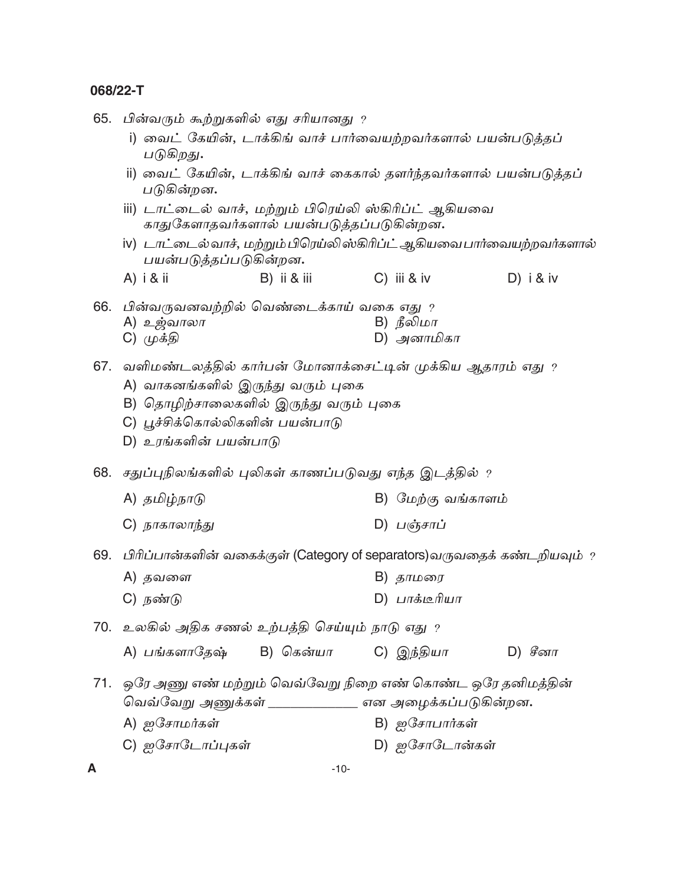65. பின்வரும் கூற்றுகளில் எது சரியானது ?

- i) வைட் கேயின், டாக்கிங் வாச் பார்வையற்றவர்களால் பயன்படுத்தப் படுகிறது.
- ii) வைட் கேயின், டாக்கிங் வாச் கைகால் தளர்ந்தவர்களால் பயன்படுத்தப் படுகின்றன.
- iii) டாட்டைல் வாச், மற்றும் பிரெய்லி ஸ்கிரிப்ட் ஆகியவை காதுகேளாதவர்களால் பயன்படுத்தப்படுகின்றன.
- iv) டாட்டைல் வாச், மற்றும் பிரெய்லி ஸ்கிரிப்ட் ஆகியவை பார்வையற்றவர்களால் பயன்படுத்தப்படுகின்றன.
- $A)$  i & ii B) ii & iii  $C)$  iii & iv D)  $i & w$

66. பின்வருவனவற்றில் வெண்டைக்காய் வகை எது ?

- A) உ<u>ஜ்</u>வாலா B) நீலிமா
- $D)$  அனாமிகா C) முக்தி
- 67. வளிமண்டலத்தில் கார்பன் மோனாக்சைட்டின் முக்கிய ஆதாரம் எது ?
	- A) வாகனங்களில் இருந்து வரும் புகை
	- B) தொழிற்சாலைகளில் இருந்து வரும் புகை
	- C) பூச்சிக்கொல்லிகளின் பயன்பாடு
	- D) உரங்களின் பயன்பாடு
- 68. சதுப்புநிலங்களில் புலிகள் காணப்படுவது எந்த இடத்தில் ?
	- A) தமிழ்நாடு B) மேற்கு வங்காளம்
	- D) பஞ்சாப் C) நாகாலாந்து
- 69. பிரிப்பான்களின் வகைக்குள் (Category of separators)வருவதைக் கண்டறியவும் ?
	- A) தவளை B) தாமரை
	- C) நண்டு D) பாக்டீரியா
- 70. உலகில் அதிக சணல் உற்பத்தி செய்யும் நாடு எது ?
	- A) பங்களாகேஷ்  $B)$  கென்யா C) இந்தியா  $D)$  சீனா
- 71. ஒரே அணு எண் மற்றும் வெவ்வேறு நிறை எண் கொண்ட ஒரே தனிமத்தின் வெவ்வேறு அணுக்கள் \_\_\_\_\_\_\_\_\_\_\_\_ என அழைக்கப்படுகின்றன.
	- A) ஐசோமர்கள் B) ஐசோபார்கள்
	- C) ஐசோடோப்புகள் D) ஐசோடோன்கள்
- A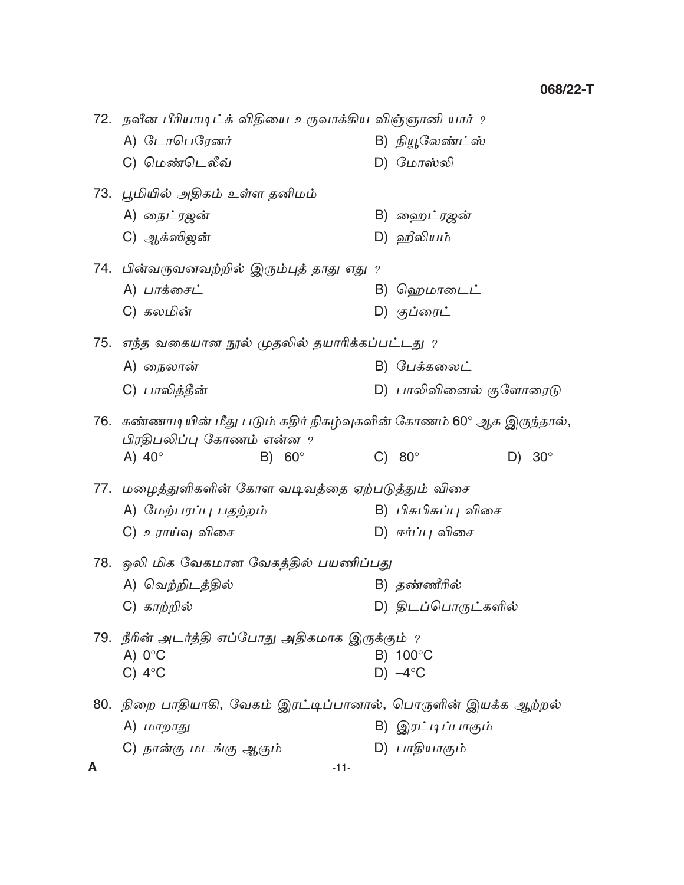|     | 72. நவீன பீரியாடிட்க் விதியை உருவாக்கிய விஞ்ஞானி யார் ?                                        |                                   |  |
|-----|------------------------------------------------------------------------------------------------|-----------------------------------|--|
|     | A) டோபெரேனர்                                                                                   | B) நியூலேண்ட்ஸ்                   |  |
|     | C) மெண்டெலீவ்                                                                                  | D) மோஸ்லி                         |  |
|     | 73. பூமியில் அதிகம் உள்ள தனிமம்                                                                |                                   |  |
|     | A) நைட்ரஜன்                                                                                    | B) ஹைட்ரஜன்                       |  |
|     | C) ஆக்ஸிஜன்                                                                                    | D) ஹீலியம்                        |  |
|     | 74.  பின்வருவனவற்றில் இரும்புத் தாது எது ?                                                     |                                   |  |
|     | A) பாக்சைட்                                                                                    | B) ஹெமாடைட்                       |  |
|     | C) கலமின்                                                                                      | D) குப்ரைட்                       |  |
|     | 75.  எந்த வகையான நூல் முதலில் தயாரிக்கப்பட்டது $\,$ ?                                          |                                   |  |
|     | A) நைலான்                                                                                      | B) பேக்கலைட்                      |  |
|     | C) பாலித்தீன்                                                                                  | D) பாலிவினைல் குளோரைடு            |  |
| 76. | கண்ணாடியின் மீது படும் கதிர் நிகழ்வுகளின் கோணம் 60° ஆக இருந்தால்,<br>பிரதிபலிப்பு கோணம் என்ன ? |                                   |  |
|     | A) $40^\circ$<br>B) $60^\circ$                                                                 | C) $80^\circ$<br>$30^\circ$<br>D) |  |
|     | 77. மழைத்துளிகளின் கோள வடிவத்தை ஏற்படுத்தும் விசை                                              |                                   |  |
|     | A) மேற்பரப்பு பதற்றம்                                                                          | B) பிசுபிசுப்பு விசை              |  |
|     | C) உராய்வு விசை                                                                                | D) ஈர்ப்பு விசை                   |  |
|     | 78. ஒலி மிக வேகமான வேகத்தில் பயணிப்பது                                                         |                                   |  |
|     | A) வெற்றிடத்தில்                                                                               | B) தண்ணீரில்                      |  |
|     | C) காற்றில்                                                                                    | D) திடப்பொருட்களில்               |  |
|     | 79. நீரின் அடர்த்தி எப்போது அதிகமாக இருக்கும் ?                                                |                                   |  |
|     | A) $0^{\circ}$ C                                                                               | B) 100°C                          |  |
|     | $C)$ 4°C                                                                                       | $D) -4$ °C                        |  |
|     | 80. நிறை பாதியாகி, வேகம் இரட்டிப்பானால், பொருளின் இயக்க ஆற்றல்                                 |                                   |  |
|     | A) மாறாது                                                                                      | B) இரட்டிப்பாகும்                 |  |
|     | C) நான்கு மடங்கு ஆகும்                                                                         | D) பாதியாகும்                     |  |
| A   | $-11-$                                                                                         |                                   |  |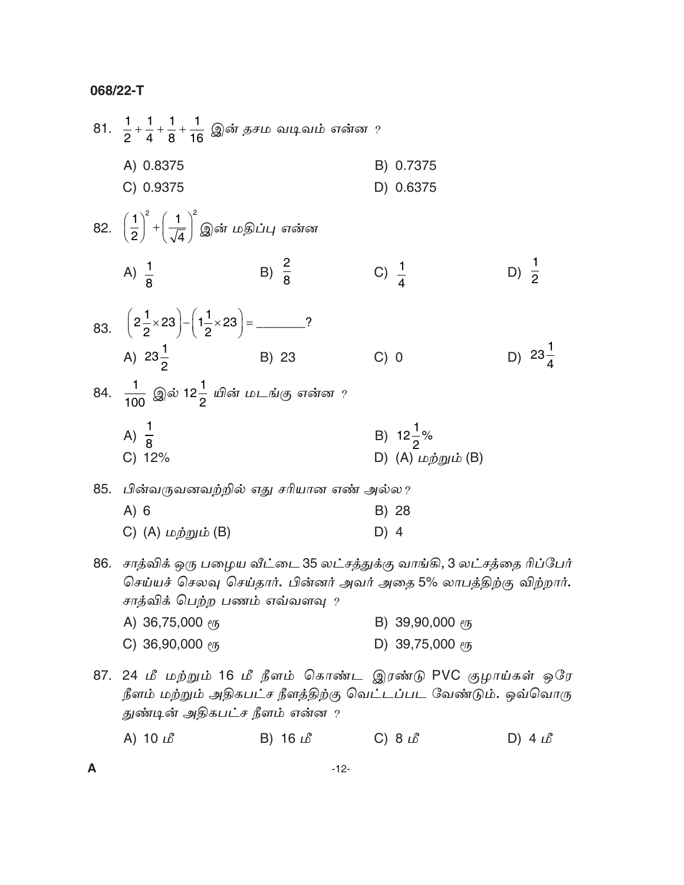|     | 81. $\frac{1}{2} + \frac{1}{4} + \frac{1}{8} + \frac{1}{16}$ இன் தசம வடிவம் என்ன ?                                                                                         |                  |                  |                                   |                  |                    |
|-----|----------------------------------------------------------------------------------------------------------------------------------------------------------------------------|------------------|------------------|-----------------------------------|------------------|--------------------|
|     | A) 0.8375                                                                                                                                                                  |                  |                  | B) 0.7375                         |                  |                    |
|     | C) 0.9375                                                                                                                                                                  |                  |                  | D) 0.6375                         |                  |                    |
|     | 82. $\left(\frac{1}{2}\right)^2+\left(\frac{1}{\sqrt{4}}\right)^2$ இன் மதிப்பு என்ன                                                                                        |                  |                  |                                   |                  |                    |
|     | A) $\frac{1}{8}$                                                                                                                                                           | B) $\frac{2}{8}$ | C) $\frac{1}{4}$ |                                   | D) $\frac{1}{2}$ |                    |
|     |                                                                                                                                                                            |                  |                  |                                   |                  |                    |
|     | A) $23\frac{1}{2}$                                                                                                                                                         | B) 23            | C) 0             |                                   |                  | D) $23\frac{1}{4}$ |
|     | 84. $\frac{1}{100}$ இல் 12 $\frac{1}{2}$ யின் மடங்கு என்ன ?                                                                                                                |                  |                  |                                   |                  |                    |
|     | A) $\frac{1}{9}$                                                                                                                                                           |                  |                  | B) $12\frac{1}{2}\%$              |                  |                    |
|     | C) 12%                                                                                                                                                                     |                  |                  | D) $(A)$ மற்றும் $(B)$            |                  |                    |
| 85. | பின்வருவனவற்றில் எது சரியான எண் அல்ல?                                                                                                                                      |                  |                  |                                   |                  |                    |
|     | A) 6                                                                                                                                                                       |                  |                  | B) 28                             |                  |                    |
|     | C) (A) மற்றும் (B)                                                                                                                                                         |                  | $D)$ 4           |                                   |                  |                    |
| 86. | சாத்விக் ஒரு பழைய வீட்டை 35 லட்சத்துக்கு வாங்கி, 3 லட்சத்தை ரிப்பேர்<br>செய்யச் செலவு செய்தார். பின்னர் அவர் அதை 5% லாபத்திற்கு விற்றார்.<br>சாத்விக் பெற்ற பணம் எவ்வளவு ? |                  |                  |                                   |                  |                    |
|     | A) 36,75,000 $\ell$ <sup>15</sup>                                                                                                                                          |                  |                  | B) 39,90,000 $\ell$ <sup>15</sup> |                  |                    |
|     | C) 36,90,000 $e$ <sup>15</sup>                                                                                                                                             |                  |                  | D) 39,75,000 $\ell$ <sup>15</sup> |                  |                    |

87. 24 மீ மற்றும் 16 மீ நீளம் கொண்ட இரண்டு PVC குழாய்கள் ஒரே நீளம் மற்றும் அதிகபட்ச நீளத்திற்கு வெட்டப்பட வேண்டும். ஒவ்வொரு துண்டின் அதிகபட்ச நீளம் என்ன ?

|  | A) 10 $\mathcal{L}$ | B) 16 $\mathcal{L}$ | C) $8 \text{ }\mathit{L}$ | D) $4 \angle B$ |
|--|---------------------|---------------------|---------------------------|-----------------|
|--|---------------------|---------------------|---------------------------|-----------------|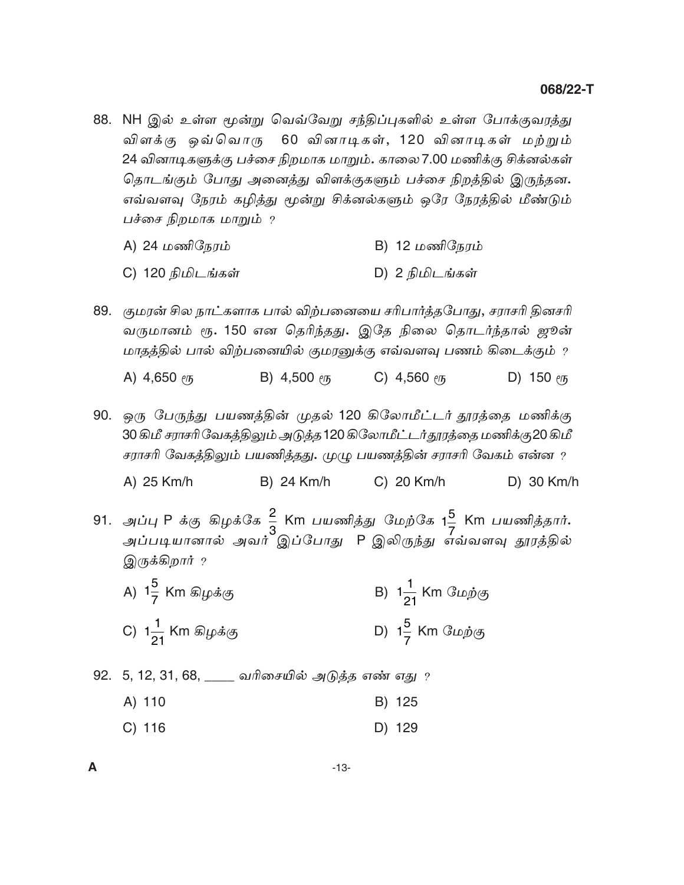88. NH இல் உள்ள மூன்று வெவ்வேறு சந்திப்புகளில் உள்ள போக்குவரத்து விளக்கு ஒவ்வொரு 60 வினாடிகள், 120 வினாடிகள் மற்றும் 24 வினாடிகளுக்கு பச்சை நிறமாக மாறும். காலை 7.00 மணிக்கு சிக்னல்கள் தொடங்கும் போது அனைத்து விளக்குகளும் பச்சை நிறத்தில் இருந்தன. எவ்வளவு நேரம் கழித்து மூன்று சிக்னல்களும் ஒரே நேரத்தில் மீண்டும் பச்சை நிறமாக மாறும் ?

| A) 24 மணிநேரம் | B) 12 மணிநேரம் |
|----------------|----------------|
|----------------|----------------|

- C) 120 நிமிடங்கள் D) 2 நிமிடங்கள்
- 89. குமரன் சில நாட்களாக பால் விற்பனையை சரிபார்த்தபோது, சராசரி தினசரி வருமானம் ரூ. 150 என தெரிந்தது. இதே நிலை தொடர்ந்தால் ஜூன் மாதத்தில் பால் விற்பனையில் குமரனுக்கு எவ்வளவு பணம் கிடைக்கும் ?

B) 4,500  $\ell$ C) 4,560  $e/\sqrt{5}$ A)  $4,650$  em D) 150  $e/5$ 

90. ஒரு பேருந்து பயணத்தின் முதல் 120 கிலோமீட்டர் தூரத்தை மணிக்கு 30 கிமீ சராசரி வேகத்திலும் அடுத்த 120 கிலோமீட்டர்தூரத்தை மணிக்கு20 கிமீ சராசரி வேகத்திலும் பயணித்தது. முழு பயணத்தின் சராசரி வேகம் என்ன ?

A) 25 Km/h **B) 24 Km/h** C) 20 Km/h D) 30 Km/h

- 91. அப்பு P க்கு கிழக்கே <mark>2</mark> Km பயணித்து மேற்கே 1<sup>5</sup> Km பயணித்தார்**.**<br>அப்படியானால் அவர் இப்போது P இலிருந்து எவ்வளவு தூரத்தில் இருக்கிறார் ?
	- A)  $1\frac{5}{7}$  Km கிழக்கு B)  $1\frac{1}{21}$  Km மேற்கு C)  $1\frac{1}{21}$  Km கிழக்கு D)  $1\frac{5}{7}$  Km மேற்கு
- 92. 5, 12, 31, 68, \_\_\_\_ வரிசையில் அடுத்த எண் எது ?
	- A) 110 B) 125
	- D) 129  $C)$  116

A

 $-13-$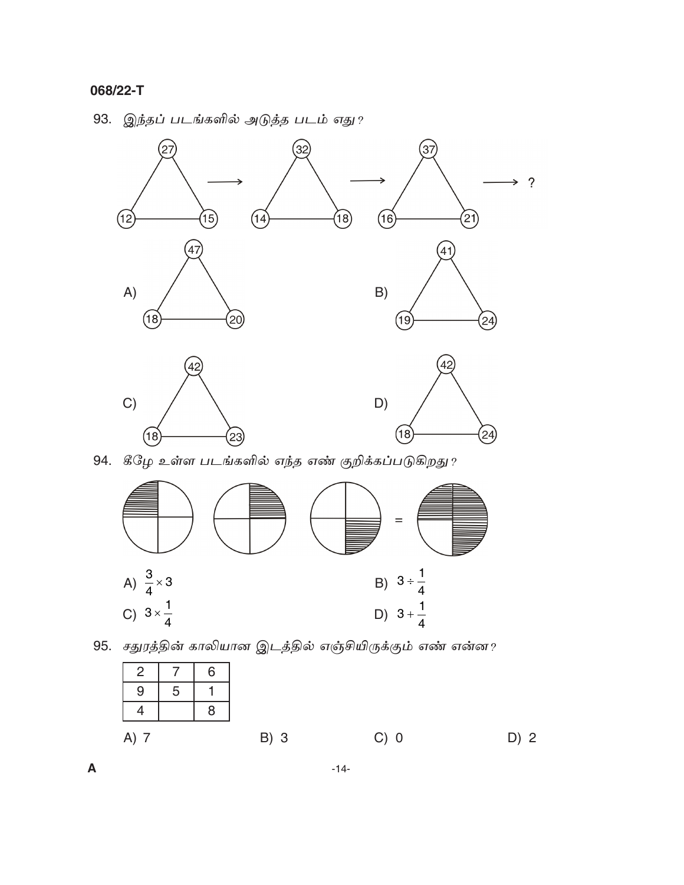$\boldsymbol{\mathsf{A}}$ 

# 93. இந்தப் படங்களில் அடுத்த படம் எது?



94. கீழே உள்ள படங்களில் எந்த எண் குறிக்கப்படுகிறது?





 $-14-$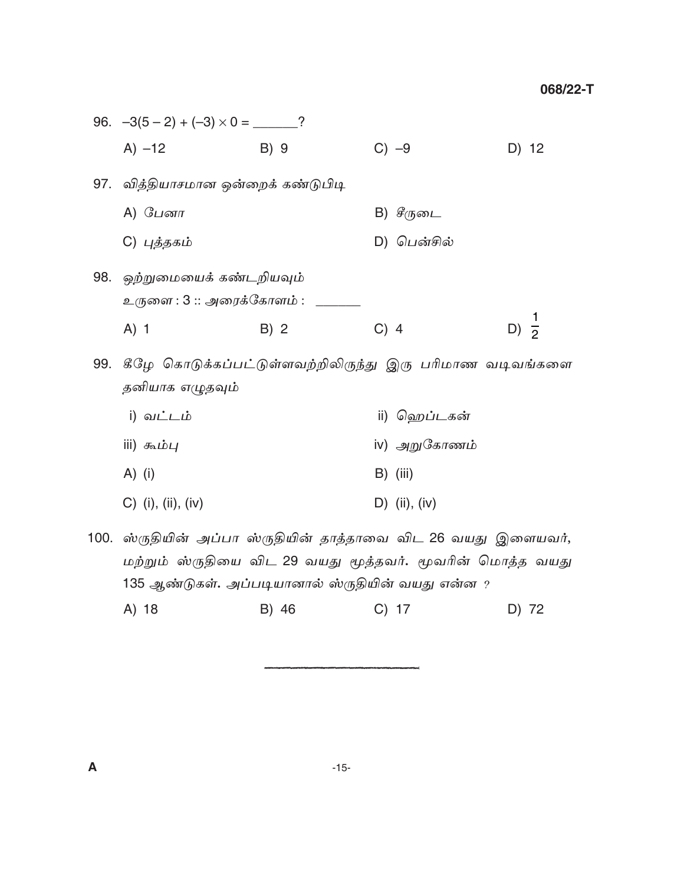|     | 96. $-3(5-2) + (-3) \times 0 =$ _______?                   |      |                                                          |                  |
|-----|------------------------------------------------------------|------|----------------------------------------------------------|------------------|
|     | $A) -12$                                                   | B) 9 | $C) -9$                                                  | D) 12            |
|     | 97.   வித்தியாசமான ஒன்றைக் கண்டுபிடி                       |      |                                                          |                  |
|     | A) பேனா                                                    |      | B) சீருடை                                                |                  |
|     | C) புத்தகம்                                                |      | D) பென்சில்                                              |                  |
|     | 98.   ஒற்றுமையைக் கண்டறியவும்<br>உருளை : 3 :: அரைக்கோளம் : |      |                                                          |                  |
|     | $A)$ 1                                                     | B) 2 | $C)$ 4                                                   | D) $\frac{1}{2}$ |
| 99. | தனியாக எழுதவும்                                            |      | கீழே கொடுக்கப்பட்டுள்ளவற்றிலிருந்து இரு பரிமாண வடிவங்களை |                  |
|     | i) வட்டம்                                                  |      | ii) ஹெப்டகன்                                             |                  |
|     | iii) கூம்பு                                                |      | iv) அறுகோணம்                                             |                  |

- A) (i)  $B)$  (iii)
- C) (i), (ii), (iv) D) (ii), (iv)
- 100. ஸ்ருதியின் அப்பா ஸ்ருதியின் தாத்தாவை விட 26 வயது இளையவர், மற்றும் ஸ்ருதியை விட 29 வயது மூத்தவர். மூவரின் மொத்த வயது 135 ஆண்டுகள். அப்படியானால் ஸ்ருதியின் வயது என்ன ?
	- A) 18 B) 46  $C)$  17 D) 72

 $-15-$